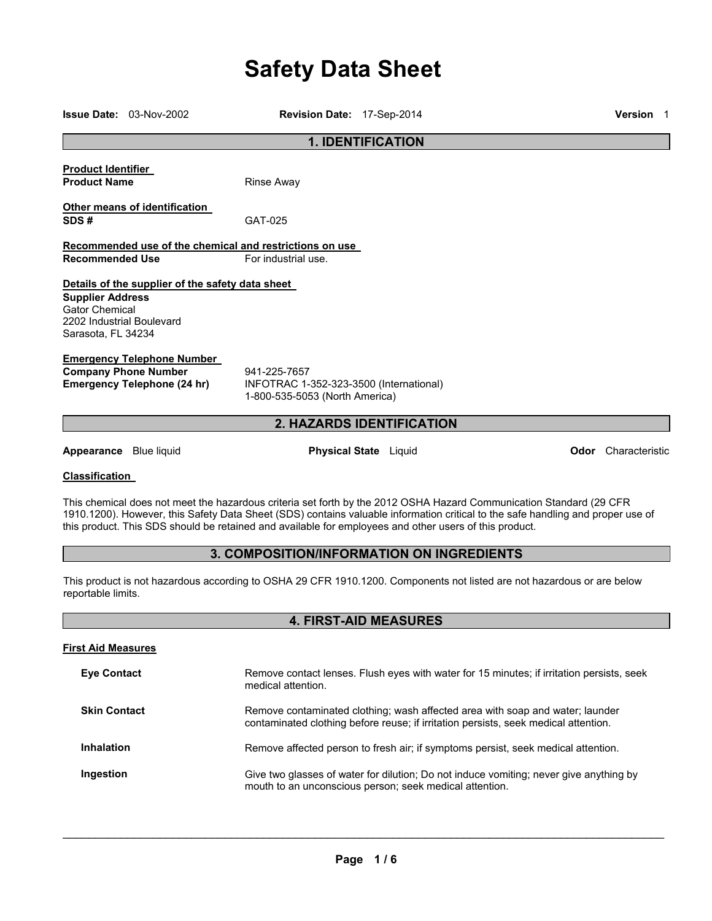# **Safety Data Sheet**

| $Issue Date: 03-Nov-2002$                                                                                                                                                                                                     | Revision Date: 17-Sep-2014                                                                |                              | <b>Version</b> 1                                                                                                                                                     |  |
|-------------------------------------------------------------------------------------------------------------------------------------------------------------------------------------------------------------------------------|-------------------------------------------------------------------------------------------|------------------------------|----------------------------------------------------------------------------------------------------------------------------------------------------------------------|--|
| <b>1. IDENTIFICATION</b>                                                                                                                                                                                                      |                                                                                           |                              |                                                                                                                                                                      |  |
| <b>Product Identifier</b><br><b>Product Name</b>                                                                                                                                                                              | <b>Rinse Away</b>                                                                         |                              |                                                                                                                                                                      |  |
| Other means of identification<br>SDS#                                                                                                                                                                                         | GAT-025                                                                                   |                              |                                                                                                                                                                      |  |
| Recommended use of the chemical and restrictions on use<br><b>Recommended Use</b>                                                                                                                                             | For industrial use.                                                                       |                              |                                                                                                                                                                      |  |
| Details of the supplier of the safety data sheet<br><b>Supplier Address</b><br><b>Gator Chemical</b><br>2202 Industrial Boulevard<br>Sarasota, FL 34234                                                                       |                                                                                           |                              |                                                                                                                                                                      |  |
| <b>Emergency Telephone Number</b><br><b>Company Phone Number</b><br><b>Emergency Telephone (24 hr)</b>                                                                                                                        | 941-225-7657<br>INFOTRAC 1-352-323-3500 (International)<br>1-800-535-5053 (North America) |                              |                                                                                                                                                                      |  |
|                                                                                                                                                                                                                               |                                                                                           | 2. HAZARDS IDENTIFICATION    |                                                                                                                                                                      |  |
| Appearance Blue liquid                                                                                                                                                                                                        |                                                                                           | <b>Physical State</b> Liquid | Odor Characteristic                                                                                                                                                  |  |
| <b>Classification</b>                                                                                                                                                                                                         |                                                                                           |                              |                                                                                                                                                                      |  |
| This chemical does not meet the hazardous criteria set forth by the 2012 OSHA Hazard Communication Standard (29 CFR<br>this product. This SDS should be retained and available for employees and other users of this product. |                                                                                           |                              | 1910.1200). However, this Safety Data Sheet (SDS) contains valuable information critical to the safe handling and proper use of                                      |  |
|                                                                                                                                                                                                                               | <b>3. COMPOSITION/INFORMATION ON INGREDIENTS</b>                                          |                              |                                                                                                                                                                      |  |
| reportable limits.                                                                                                                                                                                                            |                                                                                           |                              | This product is not hazardous according to OSHA 29 CFR 1910.1200. Components not listed are not hazardous or are below                                               |  |
|                                                                                                                                                                                                                               |                                                                                           | <b>4. FIRST-AID MEASURES</b> |                                                                                                                                                                      |  |
| <b>First Aid Measures</b>                                                                                                                                                                                                     |                                                                                           |                              |                                                                                                                                                                      |  |
| <b>Eye Contact</b>                                                                                                                                                                                                            | medical attention.                                                                        |                              | Remove contact lenses. Flush eyes with water for 15 minutes; if irritation persists, seek                                                                            |  |
| <b>Skin Contact</b>                                                                                                                                                                                                           |                                                                                           |                              | Remove contaminated clothing; wash affected area with soap and water; launder<br>contaminated clothing before reuse; if irritation persists, seek medical attention. |  |
| Inhalation                                                                                                                                                                                                                    |                                                                                           |                              | Remove affected person to fresh air; if symptoms persist, seek medical attention.                                                                                    |  |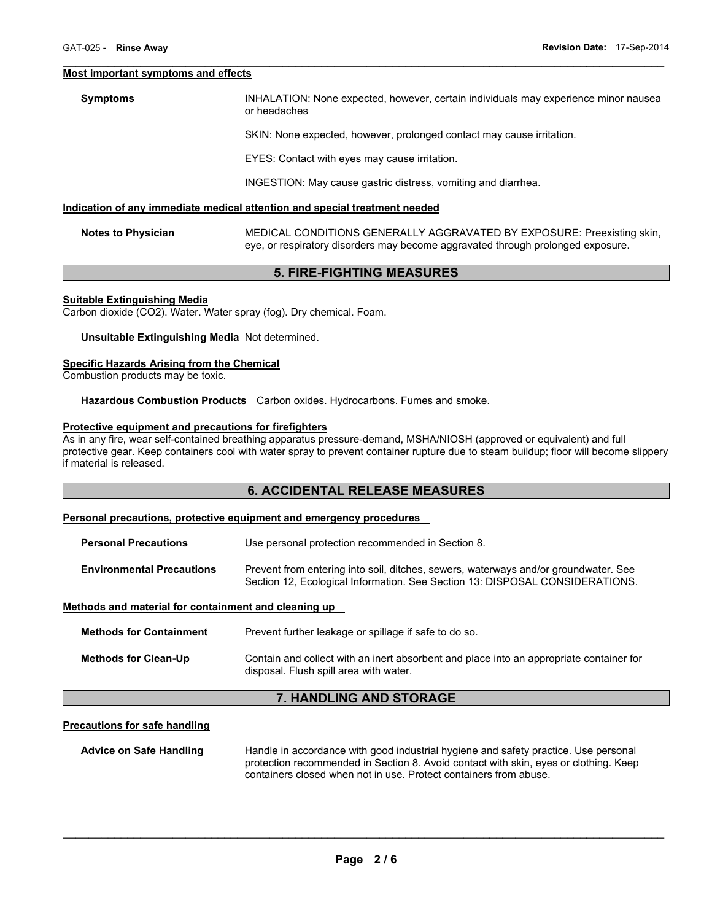#### **Most important symptoms and effects**

#### **Symptoms** INHALATION: None expected, however, certain individuals may experience minor nausea or headaches

SKIN: None expected, however, prolonged contact may cause irritation.

EYES: Contact with eyes may cause irritation.

 $\mathcal{L}_\mathcal{L} = \{ \mathcal{L}_\mathcal{L} = \{ \mathcal{L}_\mathcal{L} = \{ \mathcal{L}_\mathcal{L} = \{ \mathcal{L}_\mathcal{L} = \{ \mathcal{L}_\mathcal{L} = \{ \mathcal{L}_\mathcal{L} = \{ \mathcal{L}_\mathcal{L} = \{ \mathcal{L}_\mathcal{L} = \{ \mathcal{L}_\mathcal{L} = \{ \mathcal{L}_\mathcal{L} = \{ \mathcal{L}_\mathcal{L} = \{ \mathcal{L}_\mathcal{L} = \{ \mathcal{L}_\mathcal{L} = \{ \mathcal{L}_\mathcal{$ 

INGESTION: May cause gastric distress, vomiting and diarrhea.

#### **Indication of any immediate medical attention and special treatment needed**

**Notes to Physician** MEDICAL CONDITIONS GENERALLY AGGRAVATED BY EXPOSURE: Preexisting skin, eye, or respiratory disorders may become aggravated through prolonged exposure.

# **5. FIRE-FIGHTING MEASURES**

#### **Suitable Extinguishing Media**

Carbon dioxide (CO2). Water. Water spray (fog). Dry chemical. Foam.

#### **Unsuitable Extinguishing Media** Not determined.

# **Specific Hazards Arising from the Chemical**

Combustion products may be toxic.

**Hazardous Combustion Products** Carbon oxides. Hydrocarbons. Fumes and smoke.

#### **Protective equipment and precautions for firefighters**

As in any fire, wear self-contained breathing apparatus pressure-demand, MSHA/NIOSH (approved or equivalent) and full protective gear. Keep containers cool with water spray to prevent container rupture due to steam buildup; floor will become slippery if material is released.

# **6. ACCIDENTAL RELEASE MEASURES**

#### **Personal precautions, protective equipment and emergency procedures**

| <b>Personal Precautions</b>      | Use personal protection recommended in Section 8.                                                                                                                   |  |  |
|----------------------------------|---------------------------------------------------------------------------------------------------------------------------------------------------------------------|--|--|
| <b>Environmental Precautions</b> | Prevent from entering into soil, ditches, sewers, waterways and/or groundwater. See<br>Section 12, Ecological Information. See Section 13: DISPOSAL CONSIDERATIONS. |  |  |

#### **Methods and material for containment and cleaning up**

| <b>Methods for Containment</b> | Prevent further leakage or spillage if safe to do so.                                                                             |
|--------------------------------|-----------------------------------------------------------------------------------------------------------------------------------|
| <b>Methods for Clean-Up</b>    | Contain and collect with an inert absorbent and place into an appropriate container for<br>disposal. Flush spill area with water. |

# **7. HANDLING AND STORAGE**

# **Precautions for safe handling**

**Advice on Safe Handling** Handle in accordance with good industrial hygiene and safety practice. Use personal protection recommended in Section 8. Avoid contact with skin, eyes or clothing. Keep containers closed when not in use. Protect containers from abuse.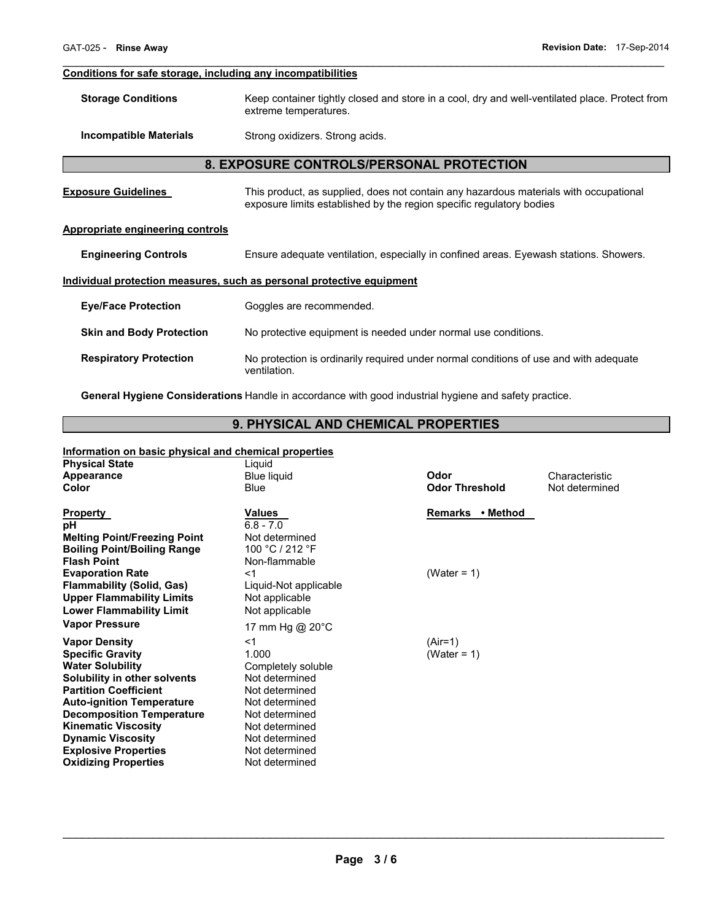# **Conditions for safe storage, including any incompatibilities**

| <b>Storage Conditions</b> | Keep container tightly closed and store in a cool, dry and well-ventilated place. Protect from |
|---------------------------|------------------------------------------------------------------------------------------------|
|                           | extreme temperatures.                                                                          |

 $\mathcal{L}_\mathcal{L} = \{ \mathcal{L}_\mathcal{L} = \{ \mathcal{L}_\mathcal{L} = \{ \mathcal{L}_\mathcal{L} = \{ \mathcal{L}_\mathcal{L} = \{ \mathcal{L}_\mathcal{L} = \{ \mathcal{L}_\mathcal{L} = \{ \mathcal{L}_\mathcal{L} = \{ \mathcal{L}_\mathcal{L} = \{ \mathcal{L}_\mathcal{L} = \{ \mathcal{L}_\mathcal{L} = \{ \mathcal{L}_\mathcal{L} = \{ \mathcal{L}_\mathcal{L} = \{ \mathcal{L}_\mathcal{L} = \{ \mathcal{L}_\mathcal{$ 

**Incompatible Materials Strong oxidizers. Strong acids.** 

# **8. EXPOSURE CONTROLS/PERSONAL PROTECTION**

| <b>Exposure Guidelines</b>                                            | This product, as supplied, does not contain any hazardous materials with occupational<br>exposure limits established by the region specific regulatory bodies |  |  |  |
|-----------------------------------------------------------------------|---------------------------------------------------------------------------------------------------------------------------------------------------------------|--|--|--|
| Appropriate engineering controls                                      |                                                                                                                                                               |  |  |  |
| <b>Engineering Controls</b>                                           | Ensure adequate ventilation, especially in confined areas. Eyewash stations. Showers.                                                                         |  |  |  |
| Individual protection measures, such as personal protective equipment |                                                                                                                                                               |  |  |  |
| <b>Eye/Face Protection</b>                                            | Goggles are recommended.                                                                                                                                      |  |  |  |
| <b>Skin and Body Protection</b>                                       | No protective equipment is needed under normal use conditions.                                                                                                |  |  |  |
| <b>Respiratory Protection</b>                                         | No protection is ordinarily required under normal conditions of use and with adequate<br>ventilation.                                                         |  |  |  |

**General Hygiene Considerations** Handle in accordance with good industrial hygiene and safety practice.

# **9. PHYSICAL AND CHEMICAL PROPERTIES**

# **Information on basic physical and chemical properties**

| <b>Physical State</b>               | Liquid                |                       |                |
|-------------------------------------|-----------------------|-----------------------|----------------|
| Appearance                          | <b>Blue liquid</b>    | Odor                  | Characteristic |
| Color                               | Blue                  | <b>Odor Threshold</b> | Not determined |
|                                     |                       |                       |                |
| Property                            | Values                | Remarks • Method      |                |
| рH                                  | $6.8 - 7.0$           |                       |                |
| <b>Melting Point/Freezing Point</b> | Not determined        |                       |                |
| <b>Boiling Point/Boiling Range</b>  | 100 °C / 212 °F       |                       |                |
| <b>Flash Point</b>                  | Non-flammable         |                       |                |
| <b>Evaporation Rate</b>             | <1                    | (Water = $1$ )        |                |
| <b>Flammability (Solid, Gas)</b>    | Liquid-Not applicable |                       |                |
| <b>Upper Flammability Limits</b>    | Not applicable        |                       |                |
| <b>Lower Flammability Limit</b>     | Not applicable        |                       |                |
| <b>Vapor Pressure</b>               | 17 mm Hg @ 20°C       |                       |                |
| <b>Vapor Density</b>                | <1                    | $(Air=1)$             |                |
| <b>Specific Gravity</b>             | 1.000                 | (Water = $1$ )        |                |
| <b>Water Solubility</b>             | Completely soluble    |                       |                |
| Solubility in other solvents        | Not determined        |                       |                |
| <b>Partition Coefficient</b>        | Not determined        |                       |                |
| <b>Auto-ignition Temperature</b>    | Not determined        |                       |                |
| <b>Decomposition Temperature</b>    | Not determined        |                       |                |
| <b>Kinematic Viscosity</b>          | Not determined        |                       |                |
| <b>Dynamic Viscosity</b>            | Not determined        |                       |                |
| <b>Explosive Properties</b>         | Not determined        |                       |                |
| <b>Oxidizing Properties</b>         | Not determined        |                       |                |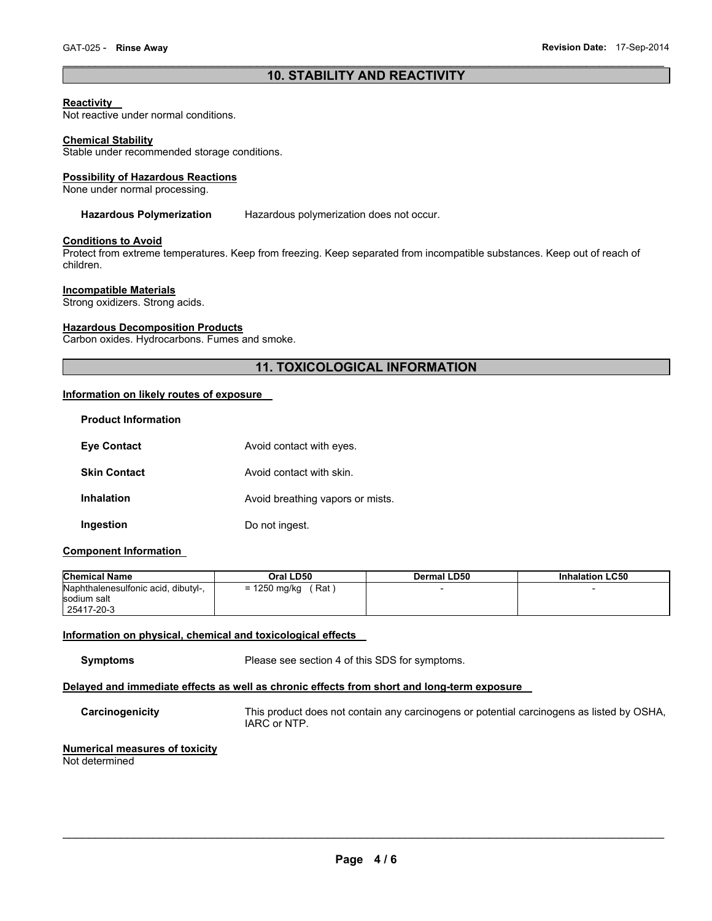# $\mathcal{L}_\mathcal{L} = \{ \mathcal{L}_\mathcal{L} = \{ \mathcal{L}_\mathcal{L} = \{ \mathcal{L}_\mathcal{L} = \{ \mathcal{L}_\mathcal{L} = \{ \mathcal{L}_\mathcal{L} = \{ \mathcal{L}_\mathcal{L} = \{ \mathcal{L}_\mathcal{L} = \{ \mathcal{L}_\mathcal{L} = \{ \mathcal{L}_\mathcal{L} = \{ \mathcal{L}_\mathcal{L} = \{ \mathcal{L}_\mathcal{L} = \{ \mathcal{L}_\mathcal{L} = \{ \mathcal{L}_\mathcal{L} = \{ \mathcal{L}_\mathcal{$ **10. STABILITY AND REACTIVITY**

# **Reactivity**

Not reactive under normal conditions.

#### **Chemical Stability**

Stable under recommended storage conditions.

#### **Possibility of Hazardous Reactions**

None under normal processing.

# **Hazardous Polymerization** Hazardous polymerization does not occur.

# **Conditions to Avoid**

Protect from extreme temperatures. Keep from freezing. Keep separated from incompatible substances. Keep out of reach of children.

#### **Incompatible Materials**

Strong oxidizers. Strong acids.

#### **Hazardous Decomposition Products**

Carbon oxides. Hydrocarbons. Fumes and smoke.

# **11. TOXICOLOGICAL INFORMATION**

# **Information on likely routes of exposure**

| <b>Product Information</b> |                                  |
|----------------------------|----------------------------------|
| <b>Eye Contact</b>         | Avoid contact with eyes.         |
| <b>Skin Contact</b>        | Avoid contact with skin.         |
| <b>Inhalation</b>          | Avoid breathing vapors or mists. |
| Ingestion                  | Do not ingest.                   |

# **Component Information**

| <b>Chemical Name</b>                | Oral LD50             | Dermal LD50 | <b>Inhalation LC50</b> |
|-------------------------------------|-----------------------|-------------|------------------------|
| Naphthalenesulfonic acid, dibutyl-, | Rat i<br>= 1250 mg/kg |             |                        |
| sodium salt                         |                       |             |                        |
| 25417-20-3                          |                       |             |                        |

#### **Information on physical, chemical and toxicological effects**

**Symptoms** Please see section 4 of this SDS for symptoms.

# **Delayed and immediate effects as well as chronic effects from short and long-term exposure**

**Carcinogenicity** This product does not contain any carcinogens or potential carcinogens as listed by OSHA, IARC or NTP.

#### **Numerical measures of toxicity**  Not determined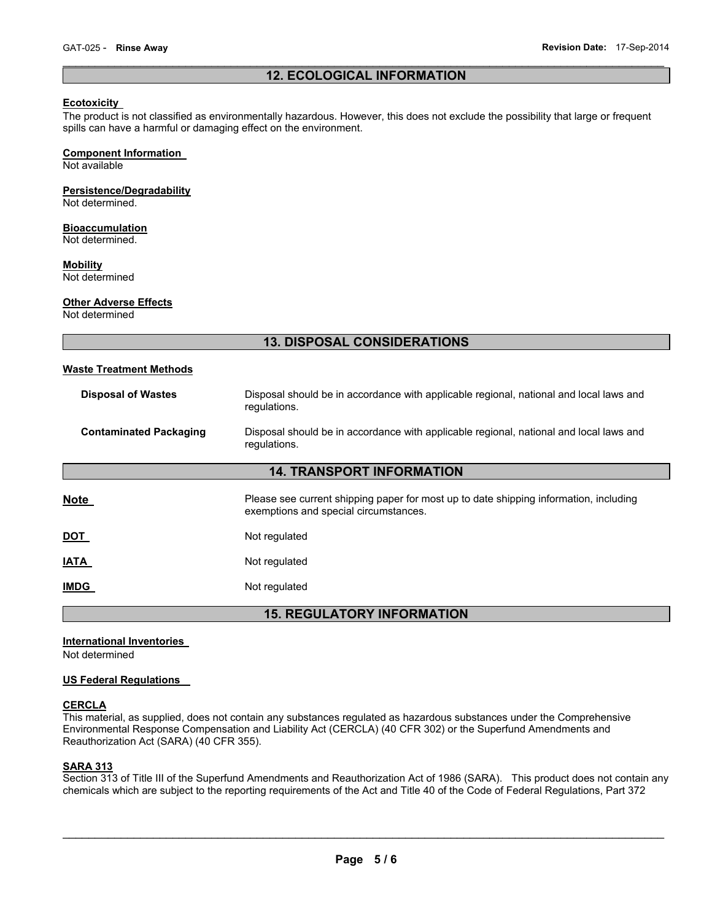# $\mathcal{L}_\mathcal{L} = \{ \mathcal{L}_\mathcal{L} = \{ \mathcal{L}_\mathcal{L} = \{ \mathcal{L}_\mathcal{L} = \{ \mathcal{L}_\mathcal{L} = \{ \mathcal{L}_\mathcal{L} = \{ \mathcal{L}_\mathcal{L} = \{ \mathcal{L}_\mathcal{L} = \{ \mathcal{L}_\mathcal{L} = \{ \mathcal{L}_\mathcal{L} = \{ \mathcal{L}_\mathcal{L} = \{ \mathcal{L}_\mathcal{L} = \{ \mathcal{L}_\mathcal{L} = \{ \mathcal{L}_\mathcal{L} = \{ \mathcal{L}_\mathcal{$ **12. ECOLOGICAL INFORMATION**

# **Ecotoxicity**

The product is not classified as environmentally hazardous. However, this does not exclude the possibility that large or frequent spills can have a harmful or damaging effect on the environment.

# **Component Information**

Not available

# **Persistence/Degradability**

Not determined.

# **Bioaccumulation**

Not determined.

# **Mobility**

Not determined

# **Other Adverse Effects**

Not determined

# **13. DISPOSAL CONSIDERATIONS**

#### **Waste Treatment Methods**

| <b>Disposal of Wastes</b>         | Disposal should be in accordance with applicable regional, national and local laws and<br>regulations.                         |  |  |
|-----------------------------------|--------------------------------------------------------------------------------------------------------------------------------|--|--|
| <b>Contaminated Packaging</b>     | Disposal should be in accordance with applicable regional, national and local laws and<br>regulations.                         |  |  |
| <b>14. TRANSPORT INFORMATION</b>  |                                                                                                                                |  |  |
| Note                              | Please see current shipping paper for most up to date shipping information, including<br>exemptions and special circumstances. |  |  |
| DOT                               | Not regulated                                                                                                                  |  |  |
| <b>ATA</b>                        | Not regulated                                                                                                                  |  |  |
| <b>IMDG</b>                       | Not regulated                                                                                                                  |  |  |
| <b>15. REGULATORY INFORMATION</b> |                                                                                                                                |  |  |

#### **International Inventories**

Not determined

# **US Federal Regulations**

#### **CERCLA**

This material, as supplied, does not contain any substances regulated as hazardous substances under the Comprehensive Environmental Response Compensation and Liability Act (CERCLA) (40 CFR 302) or the Superfund Amendments and Reauthorization Act (SARA) (40 CFR 355).

# **SARA 313**

Section 313 of Title III of the Superfund Amendments and Reauthorization Act of 1986 (SARA). This product does not contain any chemicals which are subject to the reporting requirements of the Act and Title 40 of the Code of Federal Regulations, Part 372